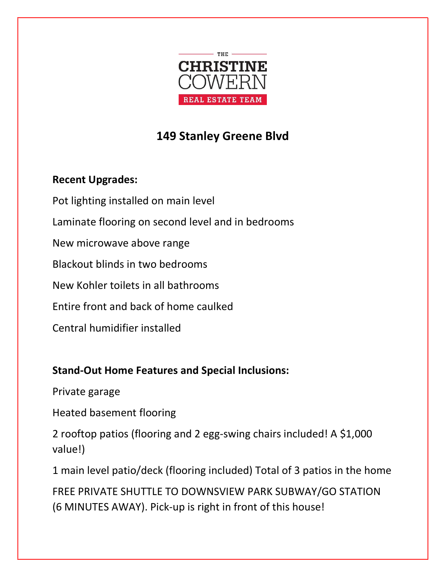

## 149 Stanley Greene Blvd

## Recent Upgrades:

Pot lighting installed on main level Laminate flooring on second level and in bedrooms New microwave above range Blackout blinds in two bedrooms New Kohler toilets in all bathrooms Entire front and back of home caulked Central humidifier installed

## Stand-Out Home Features and Special Inclusions:

Private garage

Heated basement flooring

2 rooftop patios (flooring and 2 egg-swing chairs included! A \$1,000 value!)

1 main level patio/deck (flooring included) Total of 3 patios in the home

FREE PRIVATE SHUTTLE TO DOWNSVIEW PARK SUBWAY/GO STATION (6 MINUTES AWAY). Pick-up is right in front of this house!